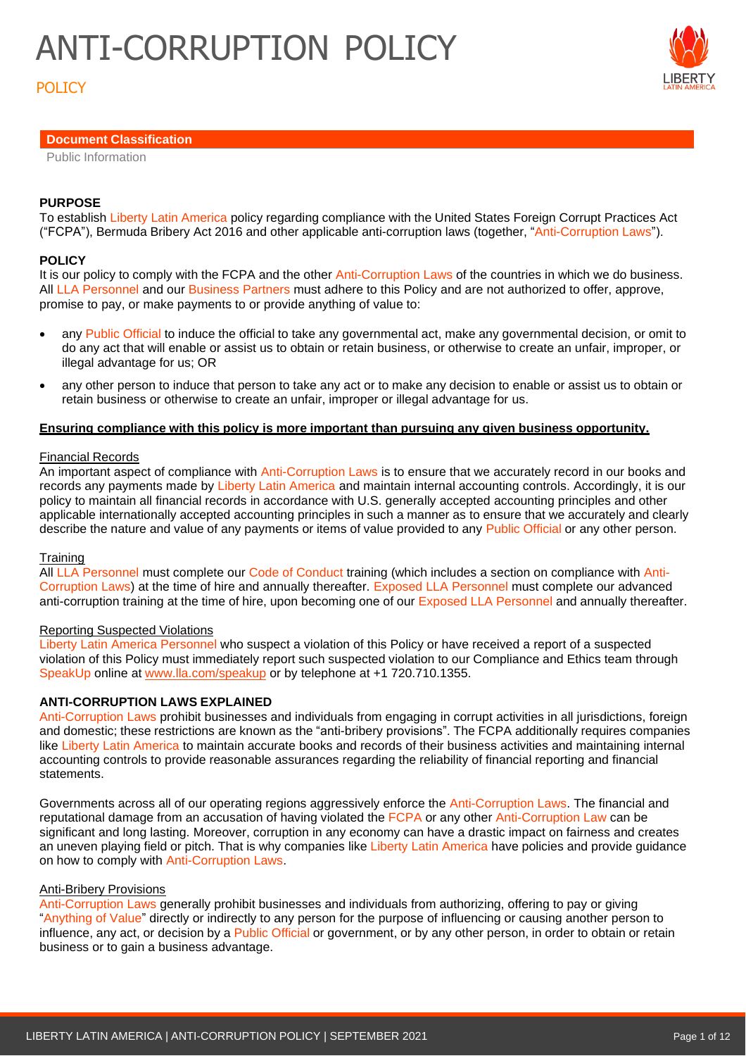# **POLICY**

# **Document Classification**

Public Information

## **PURPOSE**

To establish Liberty Latin America policy regarding compliance with the United States Foreign Corrupt Practices Act ("FCPA"), Bermuda Bribery Act 2016 and other applicable anti-corruption laws (together, "Anti-Corruption Laws").

## **POLICY**

It is our policy to comply with the FCPA and the other Anti-Corruption Laws of the countries in which we do business. All LLA Personnel and our Business Partners must adhere to this Policy and are not authorized to offer, approve, promise to pay, or make payments to or provide anything of value to:

- any Public Official to induce the official to take any governmental act, make any governmental decision, or omit to do any act that will enable or assist us to obtain or retain business, or otherwise to create an unfair, improper, or illegal advantage for us; OR
- any other person to induce that person to take any act or to make any decision to enable or assist us to obtain or retain business or otherwise to create an unfair, improper or illegal advantage for us.

### **Ensuring compliance with this policy is more important than pursuing any given business opportunity.**

### Financial Records

An important aspect of compliance with Anti-Corruption Laws is to ensure that we accurately record in our books and records any payments made by Liberty Latin America and maintain internal accounting controls. Accordingly, it is our policy to maintain all financial records in accordance with U.S. generally accepted accounting principles and other applicable internationally accepted accounting principles in such a manner as to ensure that we accurately and clearly describe the nature and value of any payments or items of value provided to any Public Official or any other person.

#### **Training**

All LLA Personnel must complete our Code of Conduct training (which includes a section on compliance with Anti-Corruption Laws) at the time of hire and annually thereafter. Exposed LLA Personnel must complete our advanced anti-corruption training at the time of hire, upon becoming one of our Exposed LLA Personnel and annually thereafter.

## Reporting Suspected Violations

Liberty Latin America Personnel who suspect a violation of this Policy or have received a report of a suspected violation of this Policy must immediately report such suspected violation to our Compliance and Ethics team through SpeakUp online at [www.lla.com/speakup](http://www.lla.com/speakup) or by telephone at +1 720.710.1355.

## **ANTI-CORRUPTION LAWS EXPLAINED**

Anti-Corruption Laws prohibit businesses and individuals from engaging in corrupt activities in all jurisdictions, foreign and domestic; these restrictions are known as the "anti-bribery provisions". The FCPA additionally requires companies like Liberty Latin America to maintain accurate books and records of their business activities and maintaining internal accounting controls to provide reasonable assurances regarding the reliability of financial reporting and financial statements.

Governments across all of our operating regions aggressively enforce the Anti-Corruption Laws. The financial and reputational damage from an accusation of having violated the FCPA or any other Anti-Corruption Law can be significant and long lasting. Moreover, corruption in any economy can have a drastic impact on fairness and creates an uneven playing field or pitch. That is why companies like Liberty Latin America have policies and provide guidance on how to comply with Anti-Corruption Laws.

#### Anti-Bribery Provisions

Anti-Corruption Laws generally prohibit businesses and individuals from authorizing, offering to pay or giving "Anything of Value" directly or indirectly to any person for the purpose of influencing or causing another person to influence, any act, or decision by a Public Official or government, or by any other person, in order to obtain or retain business or to gain a business advantage.

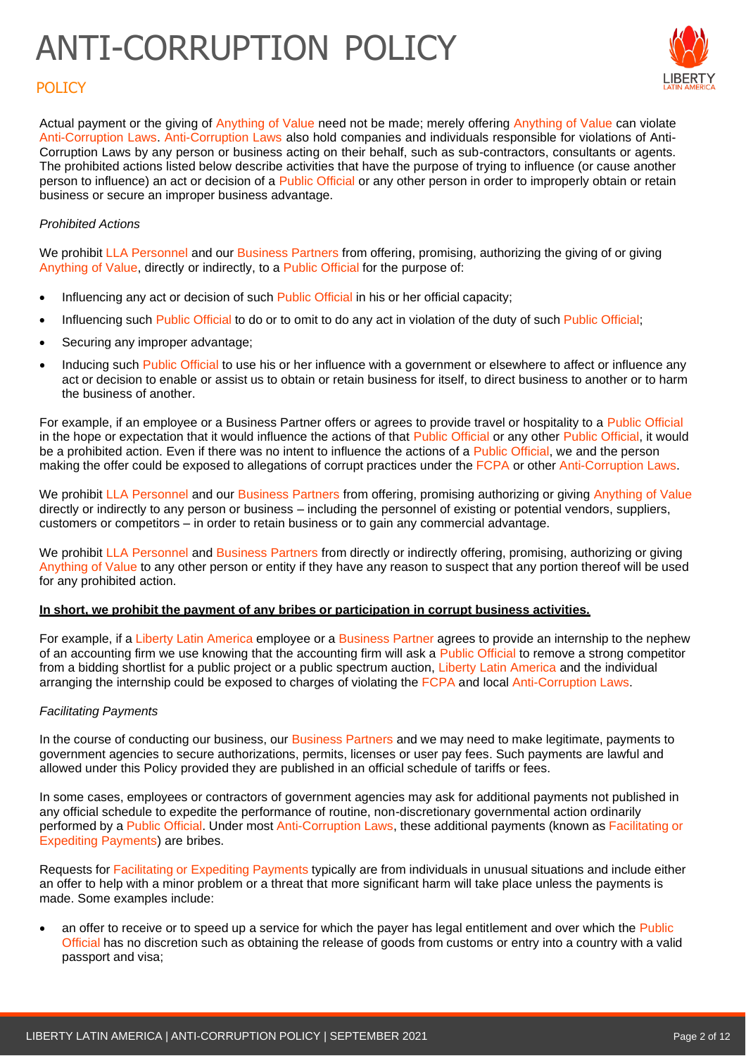

# POLICY

Actual payment or the giving of Anything of Value need not be made; merely offering Anything of Value can violate Anti-Corruption Laws. Anti-Corruption Laws also hold companies and individuals responsible for violations of Anti-Corruption Laws by any person or business acting on their behalf, such as sub-contractors, consultants or agents. The prohibited actions listed below describe activities that have the purpose of trying to influence (or cause another person to influence) an act or decision of a Public Official or any other person in order to improperly obtain or retain business or secure an improper business advantage.

## *Prohibited Actions*

We prohibit LLA Personnel and our Business Partners from offering, promising, authorizing the giving of or giving Anything of Value, directly or indirectly, to a Public Official for the purpose of:

- Influencing any act or decision of such Public Official in his or her official capacity;
- Influencing such Public Official to do or to omit to do any act in violation of the duty of such Public Official;
- Securing any improper advantage;
- Inducing such Public Official to use his or her influence with a government or elsewhere to affect or influence any act or decision to enable or assist us to obtain or retain business for itself, to direct business to another or to harm the business of another.

For example, if an employee or a Business Partner offers or agrees to provide travel or hospitality to a Public Official in the hope or expectation that it would influence the actions of that Public Official or any other Public Official, it would be a prohibited action. Even if there was no intent to influence the actions of a Public Official, we and the person making the offer could be exposed to allegations of corrupt practices under the FCPA or other Anti-Corruption Laws.

We prohibit LLA Personnel and our Business Partners from offering, promising authorizing or giving Anything of Value directly or indirectly to any person or business – including the personnel of existing or potential vendors, suppliers, customers or competitors – in order to retain business or to gain any commercial advantage.

We prohibit LLA Personnel and Business Partners from directly or indirectly offering, promising, authorizing or giving Anything of Value to any other person or entity if they have any reason to suspect that any portion thereof will be used for any prohibited action.

## **In short, we prohibit the payment of any bribes or participation in corrupt business activities.**

For example, if a Liberty Latin America employee or a Business Partner agrees to provide an internship to the nephew of an accounting firm we use knowing that the accounting firm will ask a Public Official to remove a strong competitor from a bidding shortlist for a public project or a public spectrum auction, Liberty Latin America and the individual arranging the internship could be exposed to charges of violating the FCPA and local Anti-Corruption Laws.

## *Facilitating Payments*

In the course of conducting our business, our Business Partners and we may need to make legitimate, payments to government agencies to secure authorizations, permits, licenses or user pay fees. Such payments are lawful and allowed under this Policy provided they are published in an official schedule of tariffs or fees.

In some cases, employees or contractors of government agencies may ask for additional payments not published in any official schedule to expedite the performance of routine, non-discretionary governmental action ordinarily performed by a Public Official. Under most Anti-Corruption Laws, these additional payments (known as Facilitating or Expediting Payments) are bribes.

Requests for Facilitating or Expediting Payments typically are from individuals in unusual situations and include either an offer to help with a minor problem or a threat that more significant harm will take place unless the payments is made. Some examples include:

• an offer to receive or to speed up a service for which the payer has legal entitlement and over which the Public Official has no discretion such as obtaining the release of goods from customs or entry into a country with a valid passport and visa;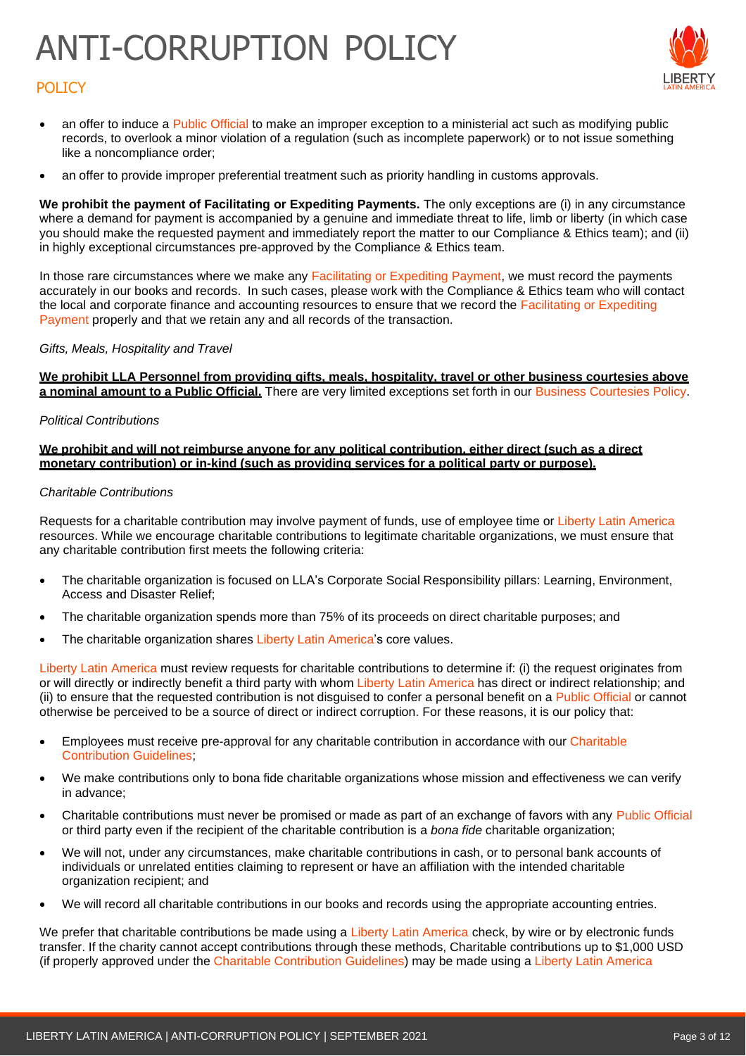

# **POLICY**

- an offer to induce a Public Official to make an improper exception to a ministerial act such as modifying public records, to overlook a minor violation of a regulation (such as incomplete paperwork) or to not issue something like a noncompliance order;
- an offer to provide improper preferential treatment such as priority handling in customs approvals.

**We prohibit the payment of Facilitating or Expediting Payments.** The only exceptions are (i) in any circumstance where a demand for payment is accompanied by a genuine and immediate threat to life, limb or liberty (in which case you should make the requested payment and immediately report the matter to our Compliance & Ethics team); and (ii) in highly exceptional circumstances pre-approved by the Compliance & Ethics team.

In those rare circumstances where we make any Facilitating or Expediting Payment, we must record the payments accurately in our books and records. In such cases, please work with the Compliance & Ethics team who will contact the local and corporate finance and accounting resources to ensure that we record the Facilitating or Expediting Payment properly and that we retain any and all records of the transaction.

### *Gifts, Meals, Hospitality and Travel*

**We prohibit LLA Personnel from providing gifts, meals, hospitality, travel or other business courtesies above a nominal amount to a Public Official.** There are very limited exceptions set forth in our Business Courtesies Policy.

### *Political Contributions*

#### **We prohibit and will not reimburse anyone for any political contribution, either direct (such as a direct monetary contribution) or in-kind (such as providing services for a political party or purpose).**

### *Charitable Contributions*

Requests for a charitable contribution may involve payment of funds, use of employee time or Liberty Latin America resources. While we encourage charitable contributions to legitimate charitable organizations, we must ensure that any charitable contribution first meets the following criteria:

- The charitable organization is focused on LLA's Corporate Social Responsibility pillars: Learning, Environment, Access and Disaster Relief;
- The charitable organization spends more than 75% of its proceeds on direct charitable purposes; and
- The charitable organization shares Liberty Latin America's core values.

Liberty Latin America must review requests for charitable contributions to determine if: (i) the request originates from or will directly or indirectly benefit a third party with whom Liberty Latin America has direct or indirect relationship; and (ii) to ensure that the requested contribution is not disguised to confer a personal benefit on a Public Official or cannot otherwise be perceived to be a source of direct or indirect corruption. For these reasons, it is our policy that:

- Employees must receive pre-approval for any charitable contribution in accordance with our Charitable Contribution Guidelines;
- We make contributions only to bona fide charitable organizations whose mission and effectiveness we can verify in advance;
- Charitable contributions must never be promised or made as part of an exchange of favors with any Public Official or third party even if the recipient of the charitable contribution is a *bona fide* charitable organization;
- We will not, under any circumstances, make charitable contributions in cash, or to personal bank accounts of individuals or unrelated entities claiming to represent or have an affiliation with the intended charitable organization recipient; and
- We will record all charitable contributions in our books and records using the appropriate accounting entries.

We prefer that charitable contributions be made using a Liberty Latin America check, by wire or by electronic funds transfer. If the charity cannot accept contributions through these methods, Charitable contributions up to \$1,000 USD (if properly approved under the Charitable Contribution Guidelines) may be made using a Liberty Latin America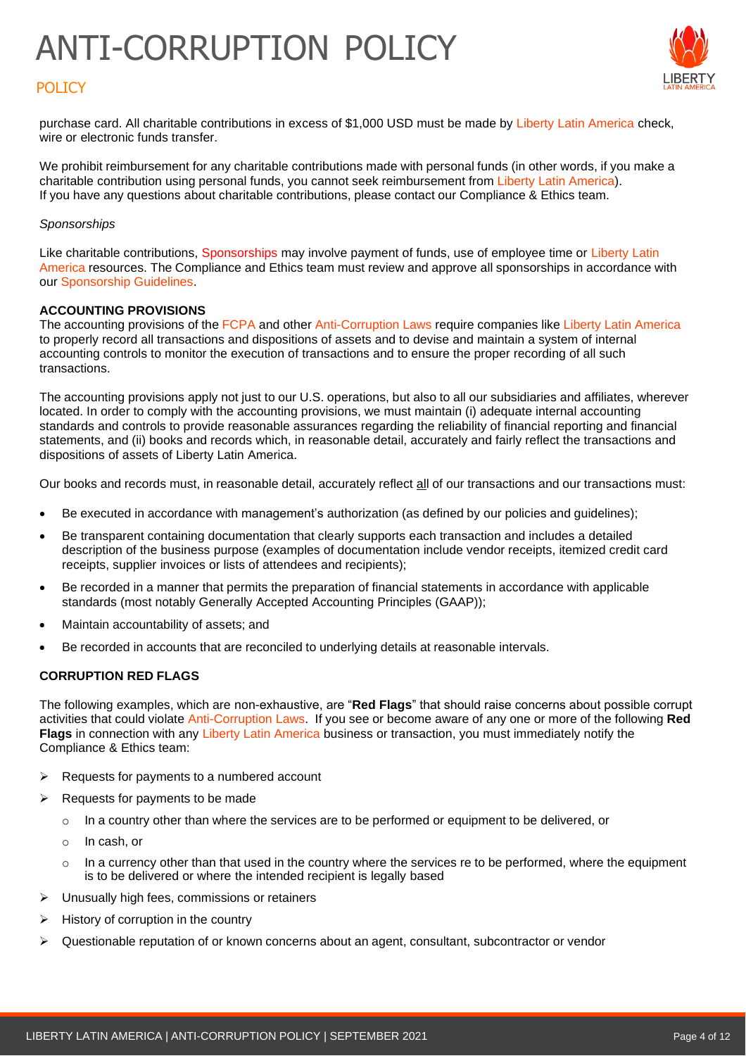

# **POLICY**

purchase card. All charitable contributions in excess of \$1,000 USD must be made by Liberty Latin America check, wire or electronic funds transfer.

We prohibit reimbursement for any charitable contributions made with personal funds (in other words, if you make a charitable contribution using personal funds, you cannot seek reimbursement from Liberty Latin America). If you have any questions about charitable contributions, please contact our Compliance & Ethics team.

### *Sponsorships*

Like charitable contributions, Sponsorships may involve payment of funds, use of employee time or Liberty Latin America resources. The Compliance and Ethics team must review and approve all sponsorships in accordance with our Sponsorship Guidelines.

### **ACCOUNTING PROVISIONS**

The accounting provisions of the FCPA and other Anti-Corruption Laws require companies like Liberty Latin America to properly record all transactions and dispositions of assets and to devise and maintain a system of internal accounting controls to monitor the execution of transactions and to ensure the proper recording of all such transactions.

The accounting provisions apply not just to our U.S. operations, but also to all our subsidiaries and affiliates, wherever located. In order to comply with the accounting provisions, we must maintain (i) adequate internal accounting standards and controls to provide reasonable assurances regarding the reliability of financial reporting and financial statements, and (ii) books and records which, in reasonable detail, accurately and fairly reflect the transactions and dispositions of assets of Liberty Latin America.

Our books and records must, in reasonable detail, accurately reflect all of our transactions and our transactions must:

- Be executed in accordance with management's authorization (as defined by our policies and guidelines);
- Be transparent containing documentation that clearly supports each transaction and includes a detailed description of the business purpose (examples of documentation include vendor receipts, itemized credit card receipts, supplier invoices or lists of attendees and recipients);
- Be recorded in a manner that permits the preparation of financial statements in accordance with applicable standards (most notably Generally Accepted Accounting Principles (GAAP));
- Maintain accountability of assets; and
- Be recorded in accounts that are reconciled to underlying details at reasonable intervals.

## **CORRUPTION RED FLAGS**

The following examples, which are non-exhaustive, are "**Red Flags**" that should raise concerns about possible corrupt activities that could violate Anti-Corruption Laws. If you see or become aware of any one or more of the following **Red Flags** in connection with any Liberty Latin America business or transaction, you must immediately notify the Compliance & Ethics team:

- $\triangleright$  Requests for payments to a numbered account
- $\triangleright$  Requests for payments to be made
	- o In a country other than where the services are to be performed or equipment to be delivered, or
	- o In cash, or
	- $\circ$  In a currency other than that used in the country where the services re to be performed, where the equipment is to be delivered or where the intended recipient is legally based
- ➢ Unusually high fees, commissions or retainers
- $\triangleright$  History of corruption in the country
- $\triangleright$  Questionable reputation of or known concerns about an agent, consultant, subcontractor or vendor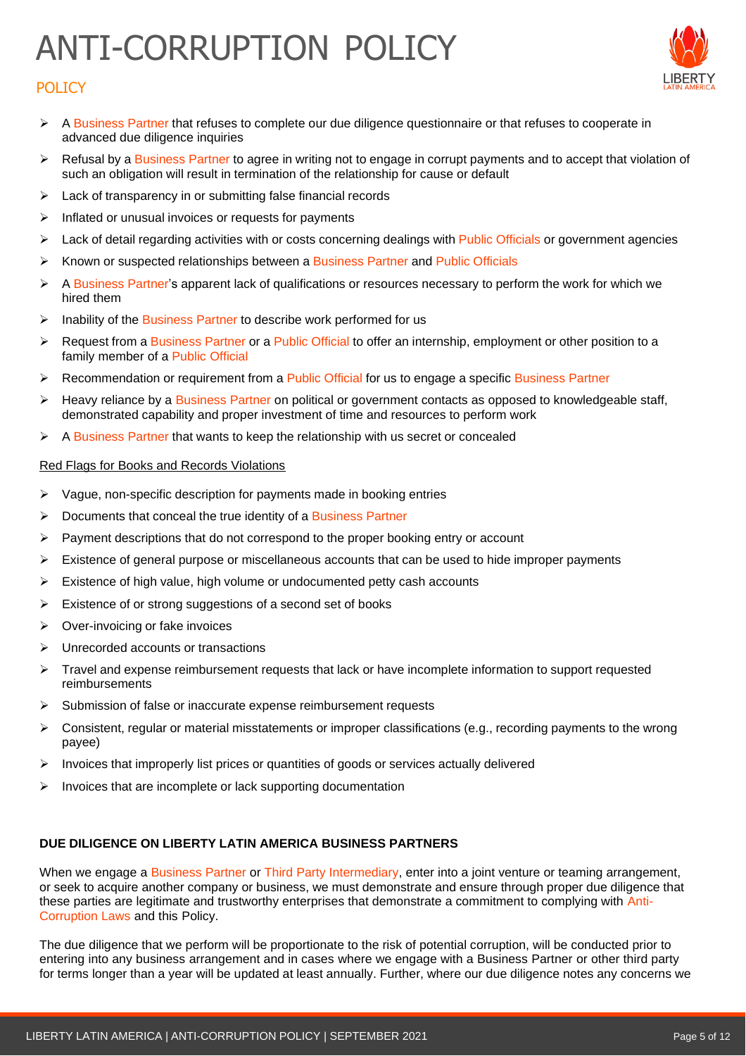



- ➢ A Business Partner that refuses to complete our due diligence questionnaire or that refuses to cooperate in advanced due diligence inquiries
- ➢ Refusal by a Business Partner to agree in writing not to engage in corrupt payments and to accept that violation of such an obligation will result in termination of the relationship for cause or default
- ➢ Lack of transparency in or submitting false financial records
- ➢ Inflated or unusual invoices or requests for payments
- ➢ Lack of detail regarding activities with or costs concerning dealings with Public Officials or government agencies
- ➢ Known or suspected relationships between a Business Partner and Public Officials
- ➢ A Business Partner's apparent lack of qualifications or resources necessary to perform the work for which we hired them
- ➢ Inability of the Business Partner to describe work performed for us
- ➢ Request from a Business Partner or a Public Official to offer an internship, employment or other position to a family member of a Public Official
- ➢ Recommendation or requirement from a Public Official for us to engage a specific Business Partner
- ➢ Heavy reliance by a Business Partner on political or government contacts as opposed to knowledgeable staff, demonstrated capability and proper investment of time and resources to perform work
- ➢ A Business Partner that wants to keep the relationship with us secret or concealed

### Red Flags for Books and Records Violations

- ➢ Vague, non-specific description for payments made in booking entries
- ➢ Documents that conceal the true identity of a Business Partner
- $\triangleright$  Payment descriptions that do not correspond to the proper booking entry or account
- ➢ Existence of general purpose or miscellaneous accounts that can be used to hide improper payments
- $\triangleright$  Existence of high value, high volume or undocumented petty cash accounts
- ➢ Existence of or strong suggestions of a second set of books
- $\triangleright$  Over-invoicing or fake invoices
- ➢ Unrecorded accounts or transactions
- ➢ Travel and expense reimbursement requests that lack or have incomplete information to support requested reimbursements
- ➢ Submission of false or inaccurate expense reimbursement requests
- ➢ Consistent, regular or material misstatements or improper classifications (e.g., recording payments to the wrong payee)
- $\triangleright$  Invoices that improperly list prices or quantities of goods or services actually delivered
- ➢ Invoices that are incomplete or lack supporting documentation

## **DUE DILIGENCE ON LIBERTY LATIN AMERICA BUSINESS PARTNERS**

When we engage a Business Partner or Third Party Intermediary, enter into a joint venture or teaming arrangement, or seek to acquire another company or business, we must demonstrate and ensure through proper due diligence that these parties are legitimate and trustworthy enterprises that demonstrate a commitment to complying with Anti-Corruption Laws and this Policy.

The due diligence that we perform will be proportionate to the risk of potential corruption, will be conducted prior to entering into any business arrangement and in cases where we engage with a Business Partner or other third party for terms longer than a year will be updated at least annually. Further, where our due diligence notes any concerns we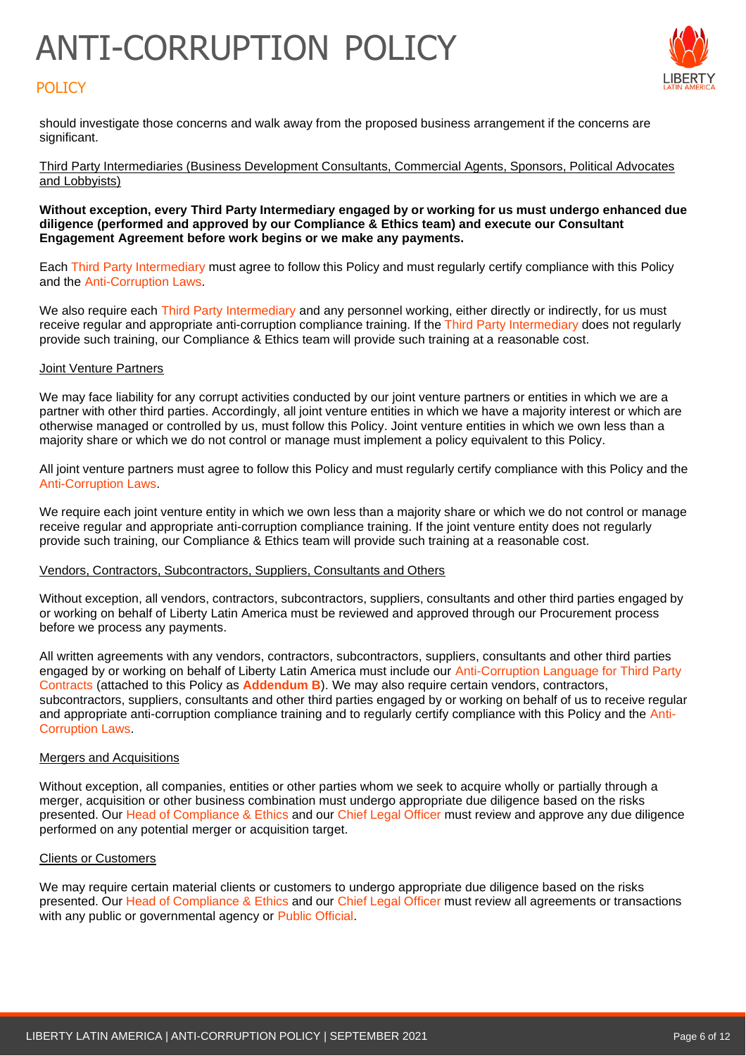# POLICY



should investigate those concerns and walk away from the proposed business arrangement if the concerns are significant.

Third Party Intermediaries (Business Development Consultants, Commercial Agents, Sponsors, Political Advocates and Lobbyists)

#### **Without exception, every Third Party Intermediary engaged by or working for us must undergo enhanced due diligence (performed and approved by our Compliance & Ethics team) and execute our Consultant Engagement Agreement before work begins or we make any payments.**

Each Third Party Intermediary must agree to follow this Policy and must regularly certify compliance with this Policy and the Anti-Corruption Laws.

We also require each Third Party Intermediary and any personnel working, either directly or indirectly, for us must receive regular and appropriate anti-corruption compliance training. If the Third Party Intermediary does not regularly provide such training, our Compliance & Ethics team will provide such training at a reasonable cost.

#### **Joint Venture Partners**

We may face liability for any corrupt activities conducted by our joint venture partners or entities in which we are a partner with other third parties. Accordingly, all joint venture entities in which we have a majority interest or which are otherwise managed or controlled by us, must follow this Policy. Joint venture entities in which we own less than a majority share or which we do not control or manage must implement a policy equivalent to this Policy.

All joint venture partners must agree to follow this Policy and must regularly certify compliance with this Policy and the Anti-Corruption Laws.

We require each joint venture entity in which we own less than a majority share or which we do not control or manage receive regular and appropriate anti-corruption compliance training. If the joint venture entity does not regularly provide such training, our Compliance & Ethics team will provide such training at a reasonable cost.

#### Vendors, Contractors, Subcontractors, Suppliers, Consultants and Others

Without exception, all vendors, contractors, subcontractors, suppliers, consultants and other third parties engaged by or working on behalf of Liberty Latin America must be reviewed and approved through our Procurement process before we process any payments.

All written agreements with any vendors, contractors, subcontractors, suppliers, consultants and other third parties engaged by or working on behalf of Liberty Latin America must include our Anti-Corruption Language for Third Party Contracts (attached to this Policy as **Addendum B**). We may also require certain vendors, contractors, subcontractors, suppliers, consultants and other third parties engaged by or working on behalf of us to receive regular and appropriate anti-corruption compliance training and to regularly certify compliance with this Policy and the Anti-Corruption Laws.

## Mergers and Acquisitions

Without exception, all companies, entities or other parties whom we seek to acquire wholly or partially through a merger, acquisition or other business combination must undergo appropriate due diligence based on the risks presented. Our Head of Compliance & Ethics and our Chief Legal Officer must review and approve any due diligence performed on any potential merger or acquisition target.

#### Clients or Customers

We may require certain material clients or customers to undergo appropriate due diligence based on the risks presented. Our Head of Compliance & Ethics and our Chief Legal Officer must review all agreements or transactions with any public or governmental agency or Public Official.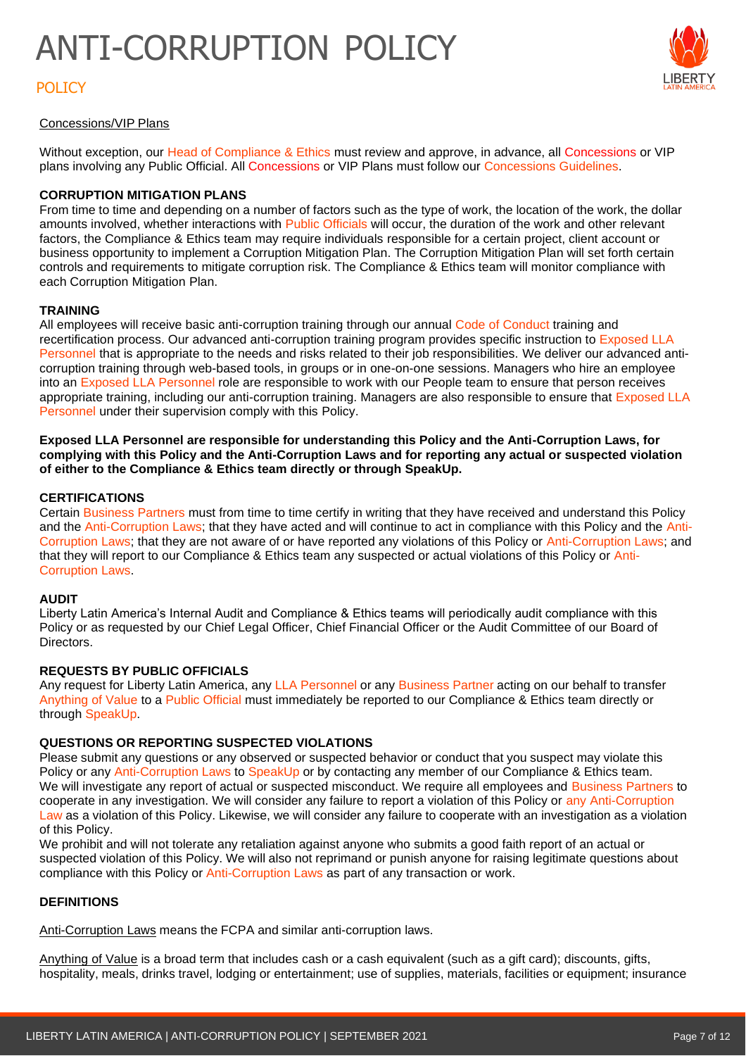# POLICY



## Concessions/VIP Plans

Without exception, our Head of Compliance & Ethics must review and approve, in advance, all Concessions or VIP plans involving any Public Official. All Concessions or VIP Plans must follow our Concessions Guidelines.

#### **CORRUPTION MITIGATION PLANS**

From time to time and depending on a number of factors such as the type of work, the location of the work, the dollar amounts involved, whether interactions with Public Officials will occur, the duration of the work and other relevant factors, the Compliance & Ethics team may require individuals responsible for a certain project, client account or business opportunity to implement a Corruption Mitigation Plan. The Corruption Mitigation Plan will set forth certain controls and requirements to mitigate corruption risk. The Compliance & Ethics team will monitor compliance with each Corruption Mitigation Plan.

### **TRAINING**

All employees will receive basic anti-corruption training through our annual Code of Conduct training and recertification process. Our advanced anti-corruption training program provides specific instruction to Exposed LLA Personnel that is appropriate to the needs and risks related to their job responsibilities. We deliver our advanced anticorruption training through web-based tools, in groups or in one-on-one sessions. Managers who hire an employee into an Exposed LLA Personnel role are responsible to work with our People team to ensure that person receives appropriate training, including our anti-corruption training. Managers are also responsible to ensure that Exposed LLA Personnel under their supervision comply with this Policy.

**Exposed LLA Personnel are responsible for understanding this Policy and the Anti-Corruption Laws, for complying with this Policy and the Anti-Corruption Laws and for reporting any actual or suspected violation of either to the Compliance & Ethics team directly or through SpeakUp.**

### **CERTIFICATIONS**

Certain Business Partners must from time to time certify in writing that they have received and understand this Policy and the Anti-Corruption Laws; that they have acted and will continue to act in compliance with this Policy and the Anti-Corruption Laws; that they are not aware of or have reported any violations of this Policy or Anti-Corruption Laws; and that they will report to our Compliance & Ethics team any suspected or actual violations of this Policy or Anti-Corruption Laws.

#### **AUDIT**

Liberty Latin America's Internal Audit and Compliance & Ethics teams will periodically audit compliance with this Policy or as requested by our Chief Legal Officer, Chief Financial Officer or the Audit Committee of our Board of Directors.

#### **REQUESTS BY PUBLIC OFFICIALS**

Any request for Liberty Latin America, any LLA Personnel or any Business Partner acting on our behalf to transfer Anything of Value to a Public Official must immediately be reported to our Compliance & Ethics team directly or through SpeakUp.

#### **QUESTIONS OR REPORTING SUSPECTED VIOLATIONS**

Please submit any questions or any observed or suspected behavior or conduct that you suspect may violate this Policy or any Anti-Corruption Laws to SpeakUp or by contacting any member of our Compliance & Ethics team. We will investigate any report of actual or suspected misconduct. We require all employees and Business Partners to cooperate in any investigation. We will consider any failure to report a violation of this Policy or any Anti-Corruption Law as a violation of this Policy. Likewise, we will consider any failure to cooperate with an investigation as a violation of this Policy.

We prohibit and will not tolerate any retaliation against anyone who submits a good faith report of an actual or suspected violation of this Policy. We will also not reprimand or punish anyone for raising legitimate questions about compliance with this Policy or Anti-Corruption Laws as part of any transaction or work.

#### **DEFINITIONS**

Anti-Corruption Laws means the FCPA and similar anti-corruption laws.

Anything of Value is a broad term that includes cash or a cash equivalent (such as a gift card); discounts, gifts, hospitality, meals, drinks travel, lodging or entertainment; use of supplies, materials, facilities or equipment; insurance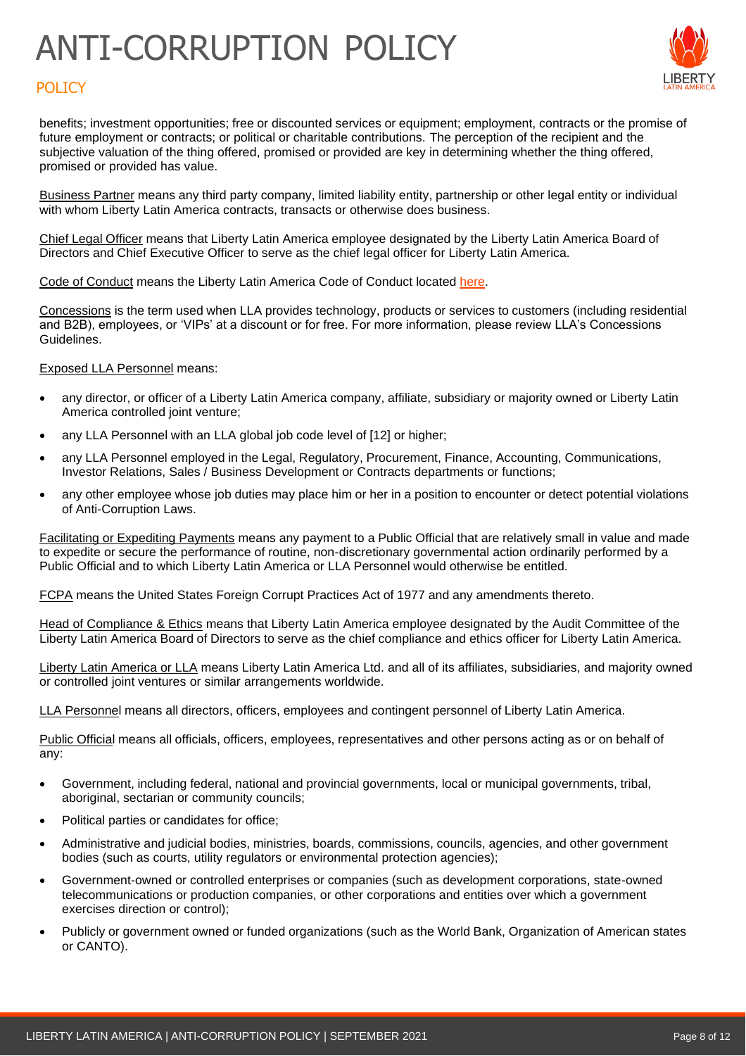

# **POLICY**

benefits; investment opportunities; free or discounted services or equipment; employment, contracts or the promise of future employment or contracts; or political or charitable contributions. The perception of the recipient and the subjective valuation of the thing offered, promised or provided are key in determining whether the thing offered, promised or provided has value.

Business Partner means any third party company, limited liability entity, partnership or other legal entity or individual with whom Liberty Latin America contracts, transacts or otherwise does business.

Chief Legal Officer means that Liberty Latin America employee designated by the Liberty Latin America Board of Directors and Chief Executive Officer to serve as the chief legal officer for Liberty Latin America.

Code of Conduct means the Liberty Latin America Code of Conduct located [here.](https://www.lla.com/code-conduct)

Concessions is the term used when LLA provides technology, products or services to customers (including residential and B2B), employees, or 'VIPs' at a discount or for free. For more information, please review LLA's Concessions Guidelines.

#### Exposed LLA Personnel means:

- any director, or officer of a Liberty Latin America company, affiliate, subsidiary or majority owned or Liberty Latin America controlled joint venture:
- any LLA Personnel with an LLA global job code level of [12] or higher;
- any LLA Personnel employed in the Legal, Regulatory, Procurement, Finance, Accounting, Communications, Investor Relations, Sales / Business Development or Contracts departments or functions;
- any other employee whose job duties may place him or her in a position to encounter or detect potential violations of Anti-Corruption Laws.

Facilitating or Expediting Payments means any payment to a Public Official that are relatively small in value and made to expedite or secure the performance of routine, non-discretionary governmental action ordinarily performed by a Public Official and to which Liberty Latin America or LLA Personnel would otherwise be entitled.

FCPA means the United States Foreign Corrupt Practices Act of 1977 and any amendments thereto.

Head of Compliance & Ethics means that Liberty Latin America employee designated by the Audit Committee of the Liberty Latin America Board of Directors to serve as the chief compliance and ethics officer for Liberty Latin America.

Liberty Latin America or LLA means Liberty Latin America Ltd. and all of its affiliates, subsidiaries, and majority owned or controlled joint ventures or similar arrangements worldwide.

LLA Personnel means all directors, officers, employees and contingent personnel of Liberty Latin America.

Public Official means all officials, officers, employees, representatives and other persons acting as or on behalf of any:

- Government, including federal, national and provincial governments, local or municipal governments, tribal, aboriginal, sectarian or community councils;
- Political parties or candidates for office;
- Administrative and judicial bodies, ministries, boards, commissions, councils, agencies, and other government bodies (such as courts, utility regulators or environmental protection agencies);
- Government-owned or controlled enterprises or companies (such as development corporations, state-owned telecommunications or production companies, or other corporations and entities over which a government exercises direction or control);
- Publicly or government owned or funded organizations (such as the World Bank, Organization of American states or CANTO).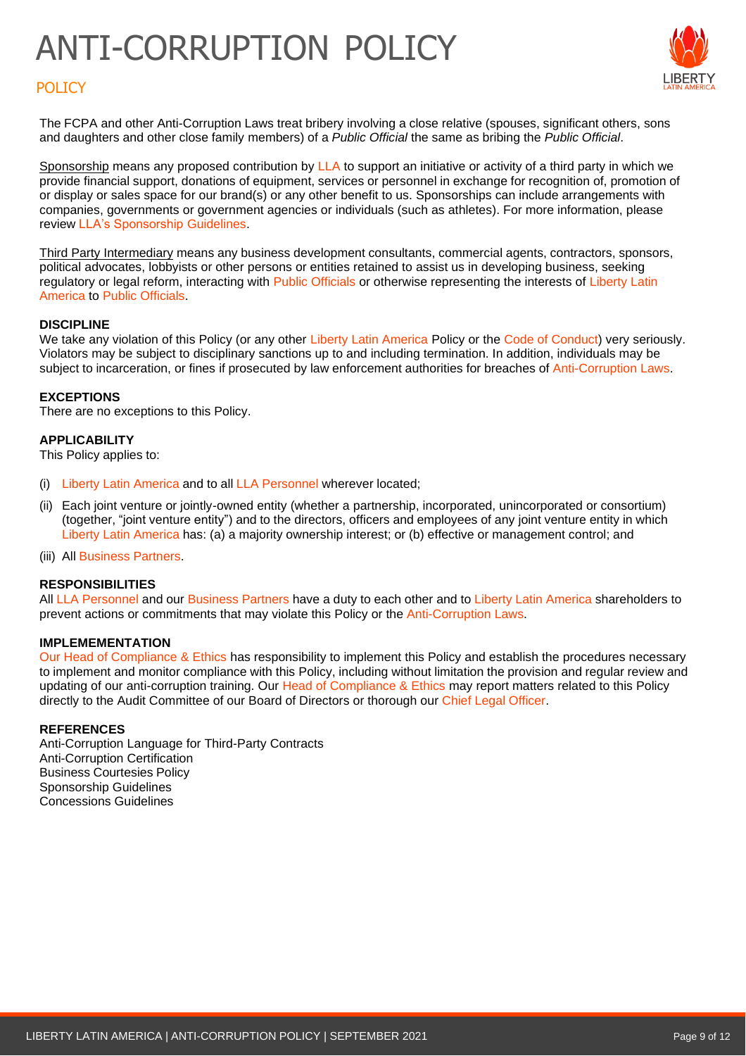

# **POLICY**

The FCPA and other Anti-Corruption Laws treat bribery involving a close relative (spouses, significant others, sons and daughters and other close family members) of a *Public Official* the same as bribing the *Public Official*.

Sponsorship means any proposed contribution by LLA to support an initiative or activity of a third party in which we provide financial support, donations of equipment, services or personnel in exchange for recognition of, promotion of or display or sales space for our brand(s) or any other benefit to us. Sponsorships can include arrangements with companies, governments or government agencies or individuals (such as athletes). For more information, please review LLA's Sponsorship Guidelines.

Third Party Intermediary means any business development consultants, commercial agents, contractors, sponsors, political advocates, lobbyists or other persons or entities retained to assist us in developing business, seeking regulatory or legal reform, interacting with Public Officials or otherwise representing the interests of Liberty Latin America to Public Officials.

### **DISCIPLINE**

We take any violation of this Policy (or any other Liberty Latin America Policy or the Code of Conduct) very seriously. Violators may be subject to disciplinary sanctions up to and including termination. In addition, individuals may be subject to incarceration, or fines if prosecuted by law enforcement authorities for breaches of Anti-Corruption Laws.

#### **EXCEPTIONS**

There are no exceptions to this Policy.

### **APPLICABILITY**

This Policy applies to:

- (i) Liberty Latin America and to all LLA Personnel wherever located;
- (ii) Each joint venture or jointly-owned entity (whether a partnership, incorporated, unincorporated or consortium) (together, "joint venture entity") and to the directors, officers and employees of any joint venture entity in which Liberty Latin America has: (a) a majority ownership interest; or (b) effective or management control; and
- (iii) All Business Partners.

## **RESPONSIBILITIES**

All LLA Personnel and our Business Partners have a duty to each other and to Liberty Latin America shareholders to prevent actions or commitments that may violate this Policy or the Anti-Corruption Laws.

#### **IMPLEMEMENTATION**

Our Head of Compliance & Ethics has responsibility to implement this Policy and establish the procedures necessary to implement and monitor compliance with this Policy, including without limitation the provision and regular review and updating of our anti-corruption training. Our Head of Compliance & Ethics may report matters related to this Policy directly to the Audit Committee of our Board of Directors or thorough our Chief Legal Officer.

#### **REFERENCES**

Anti-Corruption Language for Third-Party Contracts Anti-Corruption Certification Business Courtesies Policy Sponsorship Guidelines Concessions Guidelines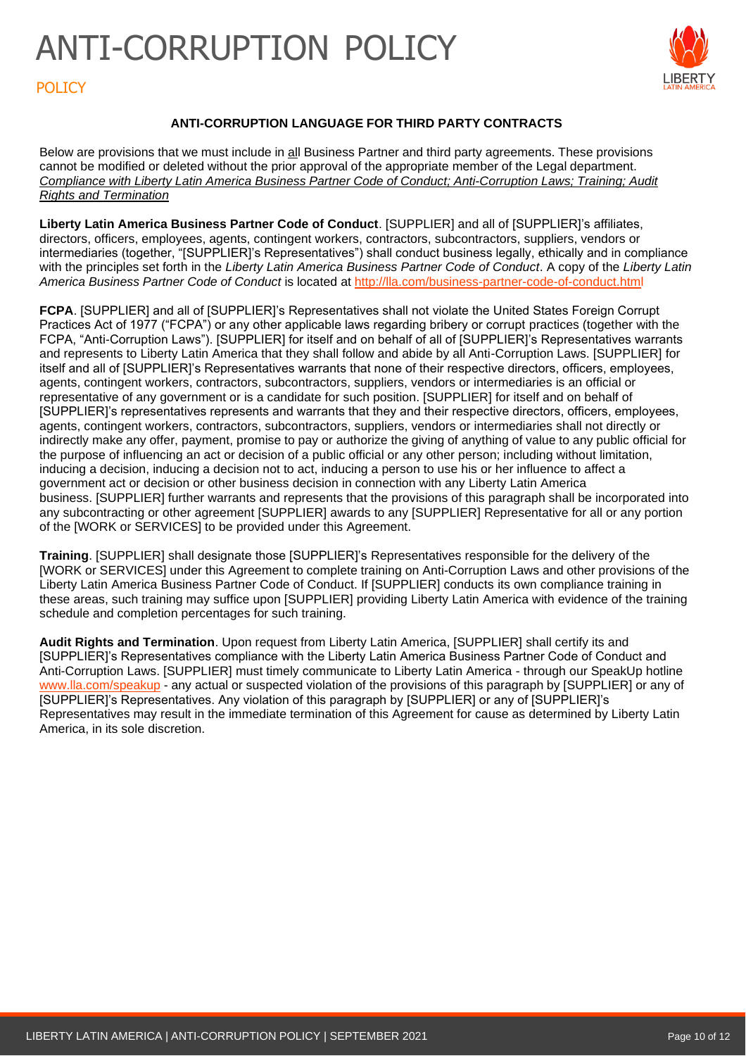

# **POLICY**

# **ANTI-CORRUPTION LANGUAGE FOR THIRD PARTY CONTRACTS**

Below are provisions that we must include in all Business Partner and third party agreements. These provisions cannot be modified or deleted without the prior approval of the appropriate member of the Legal department. *Compliance with Liberty Latin America Business Partner Code of Conduct; Anti-Corruption Laws; Training; Audit Rights and Termination*

**Liberty Latin America Business Partner Code of Conduct**. [SUPPLIER] and all of [SUPPLIER]'s affiliates, directors, officers, employees, agents, contingent workers, contractors, subcontractors, suppliers, vendors or intermediaries (together, "[SUPPLIER]'s Representatives") shall conduct business legally, ethically and in compliance with the principles set forth in the *Liberty Latin America Business Partner Code of Conduct*. A copy of the *Liberty Latin America Business Partner Code of Conduct* is located at <http://lla.com/business-partner-code-of-conduct.html>

**FCPA**. [SUPPLIER] and all of [SUPPLIER]'s Representatives shall not violate the United States Foreign Corrupt Practices Act of 1977 ("FCPA") or any other applicable laws regarding bribery or corrupt practices (together with the FCPA, "Anti-Corruption Laws"). [SUPPLIER] for itself and on behalf of all of [SUPPLIER]'s Representatives warrants and represents to Liberty Latin America that they shall follow and abide by all Anti-Corruption Laws. [SUPPLIER] for itself and all of [SUPPLIER]'s Representatives warrants that none of their respective directors, officers, employees, agents, contingent workers, contractors, subcontractors, suppliers, vendors or intermediaries is an official or representative of any government or is a candidate for such position. [SUPPLIER] for itself and on behalf of [SUPPLIER]'s representatives represents and warrants that they and their respective directors, officers, employees, agents, contingent workers, contractors, subcontractors, suppliers, vendors or intermediaries shall not directly or indirectly make any offer, payment, promise to pay or authorize the giving of anything of value to any public official for the purpose of influencing an act or decision of a public official or any other person; including without limitation, inducing a decision, inducing a decision not to act, inducing a person to use his or her influence to affect a government act or decision or other business decision in connection with any Liberty Latin America business. [SUPPLIER] further warrants and represents that the provisions of this paragraph shall be incorporated into any subcontracting or other agreement [SUPPLIER] awards to any [SUPPLIER] Representative for all or any portion of the [WORK or SERVICES] to be provided under this Agreement.

**Training**. [SUPPLIER] shall designate those [SUPPLIER]'s Representatives responsible for the delivery of the [WORK or SERVICES] under this Agreement to complete training on Anti-Corruption Laws and other provisions of the Liberty Latin America Business Partner Code of Conduct. If [SUPPLIER] conducts its own compliance training in these areas, such training may suffice upon [SUPPLIER] providing Liberty Latin America with evidence of the training schedule and completion percentages for such training.

**Audit Rights and Termination**. Upon request from Liberty Latin America, [SUPPLIER] shall certify its and [SUPPLIER]'s Representatives compliance with the Liberty Latin America Business Partner Code of Conduct and Anti-Corruption Laws. [SUPPLIER] must timely communicate to Liberty Latin America - through our SpeakUp hotline [www.lla.com/speakup](http://www.lla.com/speakup) - any actual or suspected violation of the provisions of this paragraph by [SUPPLIER] or any of [SUPPLIER]'s Representatives. Any violation of this paragraph by [SUPPLIER] or any of [SUPPLIER]'s Representatives may result in the immediate termination of this Agreement for cause as determined by Liberty Latin America, in its sole discretion.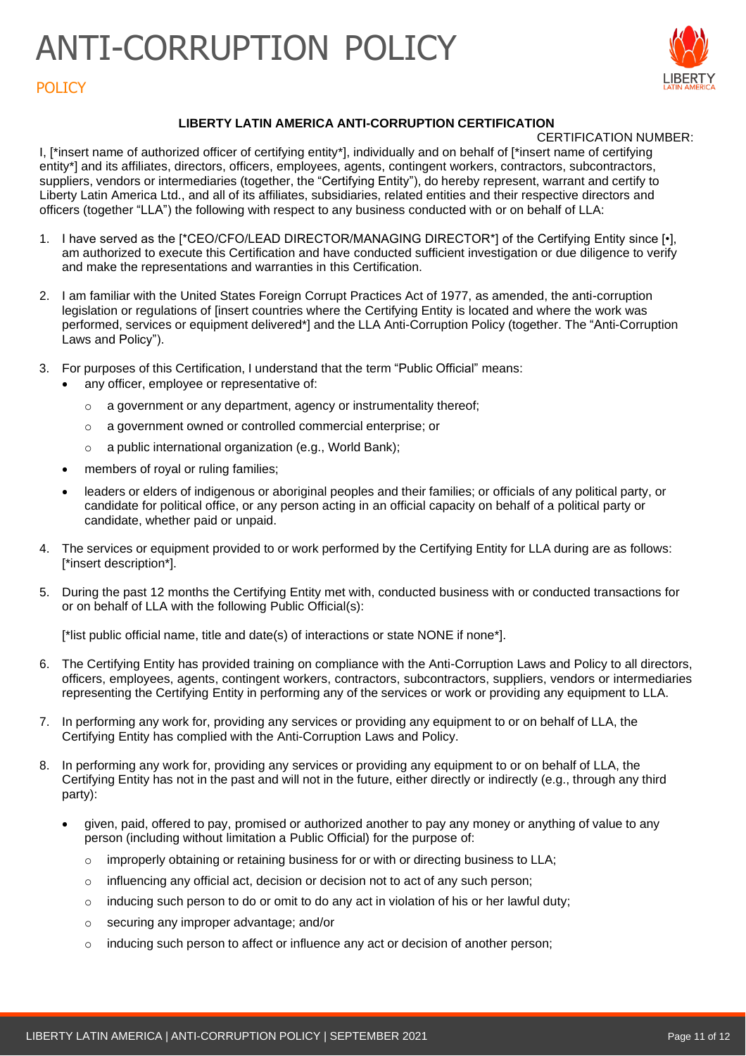

# **POLICY**

# **LIBERTY LATIN AMERICA ANTI-CORRUPTION CERTIFICATION**

CERTIFICATION NUMBER:

I, [\*insert name of authorized officer of certifying entity\*], individually and on behalf of [\*insert name of certifying entity\*] and its affiliates, directors, officers, employees, agents, contingent workers, contractors, subcontractors, suppliers, vendors or intermediaries (together, the "Certifying Entity"), do hereby represent, warrant and certify to Liberty Latin America Ltd., and all of its affiliates, subsidiaries, related entities and their respective directors and officers (together "LLA") the following with respect to any business conducted with or on behalf of LLA:

- 1. I have served as the [\*CEO/CFO/LEAD DIRECTOR/MANAGING DIRECTOR\*] of the Certifying Entity since [•], am authorized to execute this Certification and have conducted sufficient investigation or due diligence to verify and make the representations and warranties in this Certification.
- 2. I am familiar with the United States Foreign Corrupt Practices Act of 1977, as amended, the anti-corruption legislation or regulations of [insert countries where the Certifying Entity is located and where the work was performed, services or equipment delivered\*] and the LLA Anti-Corruption Policy (together. The "Anti-Corruption Laws and Policy").
- 3. For purposes of this Certification, I understand that the term "Public Official" means:
	- any officer, employee or representative of:
		- o a government or any department, agency or instrumentality thereof;
		- o a government owned or controlled commercial enterprise; or
		- o a public international organization (e.g., World Bank);
	- members of royal or ruling families;
	- leaders or elders of indigenous or aboriginal peoples and their families; or officials of any political party, or candidate for political office, or any person acting in an official capacity on behalf of a political party or candidate, whether paid or unpaid.
- 4. The services or equipment provided to or work performed by the Certifying Entity for LLA during are as follows: [\*insert description\*].
- 5. During the past 12 months the Certifying Entity met with, conducted business with or conducted transactions for or on behalf of LLA with the following Public Official(s):

[\*list public official name, title and date(s) of interactions or state NONE if none\*].

- 6. The Certifying Entity has provided training on compliance with the Anti-Corruption Laws and Policy to all directors, officers, employees, agents, contingent workers, contractors, subcontractors, suppliers, vendors or intermediaries representing the Certifying Entity in performing any of the services or work or providing any equipment to LLA.
- 7. In performing any work for, providing any services or providing any equipment to or on behalf of LLA, the Certifying Entity has complied with the Anti-Corruption Laws and Policy.
- 8. In performing any work for, providing any services or providing any equipment to or on behalf of LLA, the Certifying Entity has not in the past and will not in the future, either directly or indirectly (e.g., through any third party):
	- given, paid, offered to pay, promised or authorized another to pay any money or anything of value to any person (including without limitation a Public Official) for the purpose of:
		- $\circ$  improperly obtaining or retaining business for or with or directing business to LLA;
		- o influencing any official act, decision or decision not to act of any such person;
		- $\circ$  inducing such person to do or omit to do any act in violation of his or her lawful duty;
		- o securing any improper advantage; and/or
		- $\circ$  inducing such person to affect or influence any act or decision of another person;